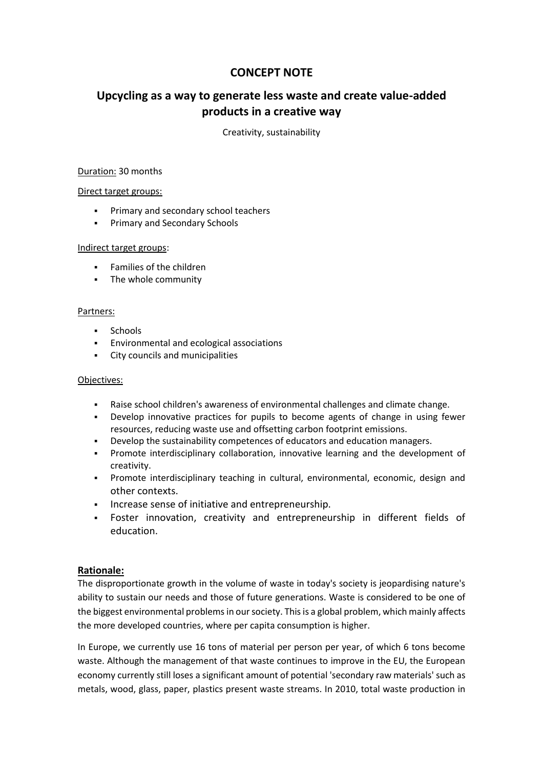## **CONCEPT NOTE**

# **Upcycling as a way to generate less waste and create value-added products in a creative way**

Creativity, sustainability

#### Duration: 30 months

#### Direct target groups:

- **Primary and secondary school teachers**
- **Primary and Secondary Schools**

#### Indirect target groups:

- **Families of the children**
- The whole community

#### Partners:

- **Schools**
- Environmental and ecological associations
- City councils and municipalities

#### Objectives:

- Raise school children's awareness of environmental challenges and climate change.
- Develop innovative practices for pupils to become agents of change in using fewer resources, reducing waste use and offsetting carbon footprint emissions.
- Develop the sustainability competences of educators and education managers.
- Promote interdisciplinary collaboration, innovative learning and the development of creativity.
- Promote interdisciplinary teaching in cultural, environmental, economic, design and other contexts.
- **Increase sense of initiative and entrepreneurship.**
- Foster innovation, creativity and entrepreneurship in different fields of education.

## **Rationale:**

The disproportionate growth in the volume of waste in today's society is jeopardising nature's ability to sustain our needs and those of future generations. Waste is considered to be one of the biggest environmental problems in our society. This is a global problem, which mainly affects the more developed countries, where per capita consumption is higher.

In Europe, we currently use 16 tons of material per person per year, of which 6 tons become waste. Although the management of that waste continues to improve in the EU, the European economy currently still loses a significant amount of potential 'secondary raw materials' such as metals, wood, glass, paper, plastics present waste streams. In 2010, total waste production in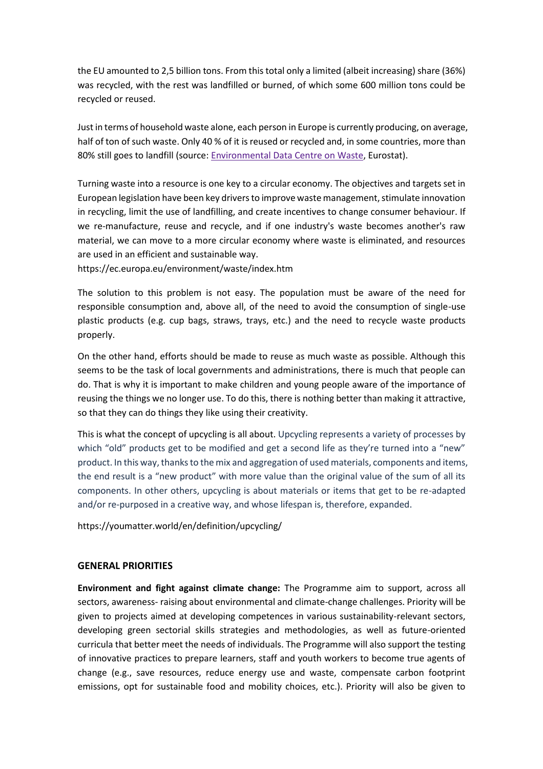the EU amounted to 2,5 billion tons. From this total only a limited (albeit increasing) share (36%) was recycled, with the rest was landfilled or burned, of which some 600 million tons could be recycled or reused.

Just in terms of household waste alone, each person in Europe is currently producing, on average, half of ton of such waste. Only 40 % of it is reused or recycled and, in some countries, more than 80% still goes to landfill (source: [Environmental](https://ec.europa.eu/eurostat/web/environment/waste) Data Centre on Waste, Eurostat).

Turning waste into a resource is one key to a circular economy. The objectives and targets set in European legislation have been key drivers to improve waste management, stimulate innovation in recycling, limit the use of landfilling, and create incentives to change consumer behaviour. If we re-manufacture, reuse and recycle, and if one industry's waste becomes another's raw material, we can move to a more circular economy where waste is eliminated, and resources are used in an efficient and sustainable way.

https://ec.europa.eu/environment/waste/index.htm

The solution to this problem is not easy. The population must be aware of the need for responsible consumption and, above all, of the need to avoid the consumption of single-use plastic products (e.g. cup bags, straws, trays, etc.) and the need to recycle waste products properly.

On the other hand, efforts should be made to reuse as much waste as possible. Although this seems to be the task of local governments and administrations, there is much that people can do. That is why it is important to make children and young people aware of the importance of reusing the things we no longer use. To do this, there is nothing better than making it attractive, so that they can do things they like using their creativity.

This is what the concept of upcycling is all about. Upcycling represents a variety of processes by which "old" products get to be modified and get a second life as they're turned into a "new" product. In this way, thanks to the mix and aggregation of used materials, components and items, the end result is a "new product" with more value than the original value of the sum of all its components. In other others, upcycling is about materials or items that get to be re-adapted and/or re-purposed in a creative way, and whose lifespan is, therefore, expanded.

https://youmatter.world/en/definition/upcycling/

## **GENERAL PRIORITIES**

**Environment and fight against climate change:** The Programme aim to support, across all sectors, awareness- raising about environmental and climate-change challenges. Priority will be given to projects aimed at developing competences in various sustainability-relevant sectors, developing green sectorial skills strategies and methodologies, as well as future-oriented curricula that better meet the needs of individuals. The Programme will also support the testing of innovative practices to prepare learners, staff and youth workers to become true agents of change (e.g., save resources, reduce energy use and waste, compensate carbon footprint emissions, opt for sustainable food and mobility choices, etc.). Priority will also be given to